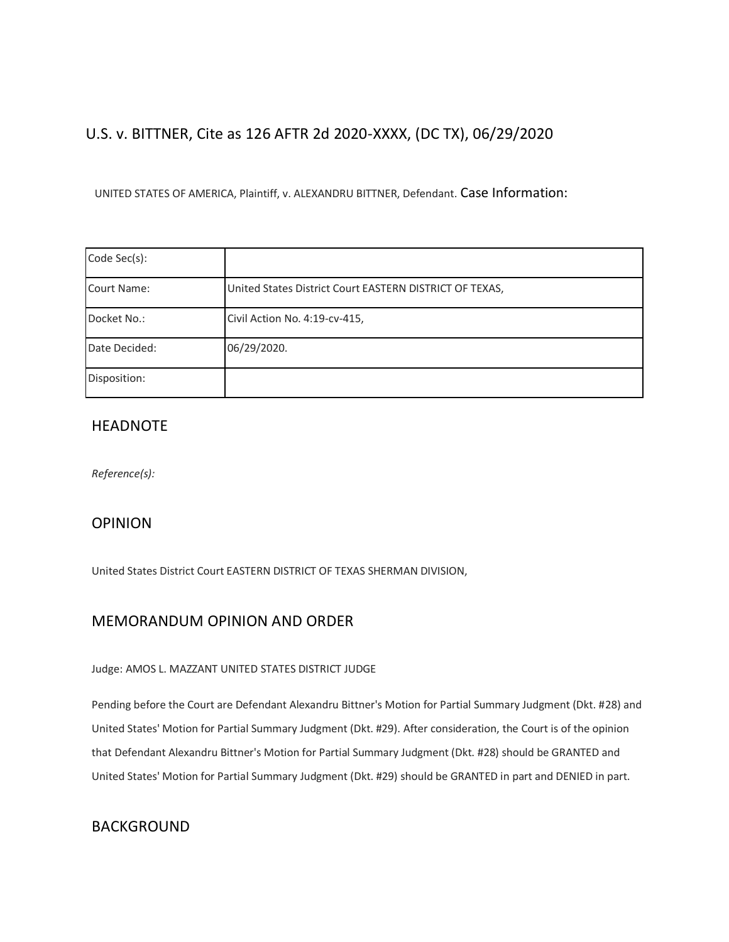# U.S. v. BITTNER, Cite as 126 AFTR 2d 2020-XXXX, (DC TX), 06/29/2020

UNITED STATES OF AMERICA, Plaintiff, v. ALEXANDRU BITTNER, Defendant. Case Information:

| Code Sec(s):  |                                                         |  |
|---------------|---------------------------------------------------------|--|
|               |                                                         |  |
| Court Name:   | United States District Court EASTERN DISTRICT OF TEXAS, |  |
| Docket No.:   | Civil Action No. 4:19-cv-415,                           |  |
| Date Decided: | 06/29/2020.                                             |  |
| Disposition:  |                                                         |  |

## HEADNOTE

*Reference(s):*

## OPINION

United States District Court EASTERN DISTRICT OF TEXAS SHERMAN DIVISION,

## MEMORANDUM OPINION AND ORDER

#### Judge: AMOS L. MAZZANT UNITED STATES DISTRICT JUDGE

Pending before the Court are Defendant Alexandru Bittner's Motion for Partial Summary Judgment (Dkt. #28) and United States' Motion for Partial Summary Judgment (Dkt. #29). After consideration, the Court is of the opinion that Defendant Alexandru Bittner's Motion for Partial Summary Judgment (Dkt. #28) should be GRANTED and United States' Motion for Partial Summary Judgment (Dkt. #29) should be GRANTED in part and DENIED in part.

## BACKGROUND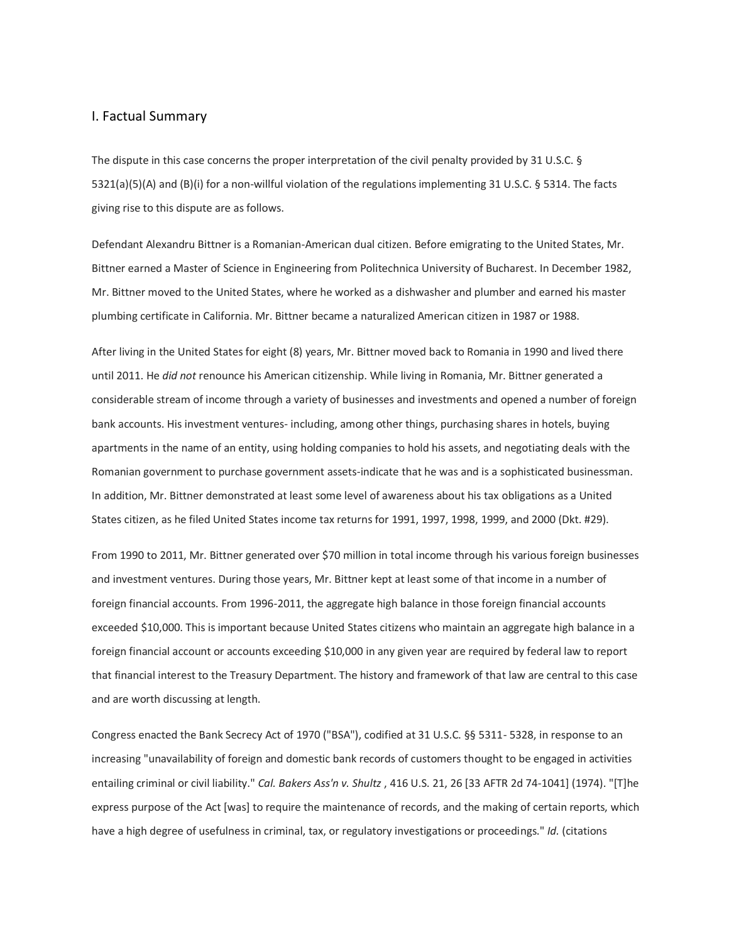#### I. Factual Summary

The dispute in this case concerns the proper interpretation of the civil penalty provided by 31 U.S.C. § 5321(a)(5)(A) and (B)(i) for a non-willful violation of the regulations implementing 31 U.S.C. § 5314. The facts giving rise to this dispute are as follows.

Defendant Alexandru Bittner is a Romanian-American dual citizen. Before emigrating to the United States, Mr. Bittner earned a Master of Science in Engineering from Politechnica University of Bucharest. In December 1982, Mr. Bittner moved to the United States, where he worked as a dishwasher and plumber and earned his master plumbing certificate in California. Mr. Bittner became a naturalized American citizen in 1987 or 1988.

After living in the United States for eight (8) years, Mr. Bittner moved back to Romania in 1990 and lived there until 2011. He *did not* renounce his American citizenship. While living in Romania, Mr. Bittner generated a considerable stream of income through a variety of businesses and investments and opened a number of foreign bank accounts. His investment ventures- including, among other things, purchasing shares in hotels, buying apartments in the name of an entity, using holding companies to hold his assets, and negotiating deals with the Romanian government to purchase government assets-indicate that he was and is a sophisticated businessman. In addition, Mr. Bittner demonstrated at least some level of awareness about his tax obligations as a United States citizen, as he filed United States income tax returns for 1991, 1997, 1998, 1999, and 2000 (Dkt. #29).

From 1990 to 2011, Mr. Bittner generated over \$70 million in total income through his various foreign businesses and investment ventures. During those years, Mr. Bittner kept at least some of that income in a number of foreign financial accounts. From 1996-2011, the aggregate high balance in those foreign financial accounts exceeded \$10,000. This is important because United States citizens who maintain an aggregate high balance in a foreign financial account or accounts exceeding \$10,000 in any given year are required by federal law to report that financial interest to the Treasury Department. The history and framework of that law are central to this case and are worth discussing at length.

Congress enacted the Bank Secrecy Act of 1970 ("BSA"), codified at 31 U.S.C. §§ 5311- 5328, in response to an increasing "unavailability of foreign and domestic bank records of customers thought to be engaged in activities entailing criminal or civil liability." *Cal. Bakers Ass'n v. Shultz* , 416 U.S. 21, 26 [33 AFTR 2d 74-1041] (1974). "[T]he express purpose of the Act [was] to require the maintenance of records, and the making of certain reports, which have a high degree of usefulness in criminal, tax, or regulatory investigations or proceedings." *Id.* (citations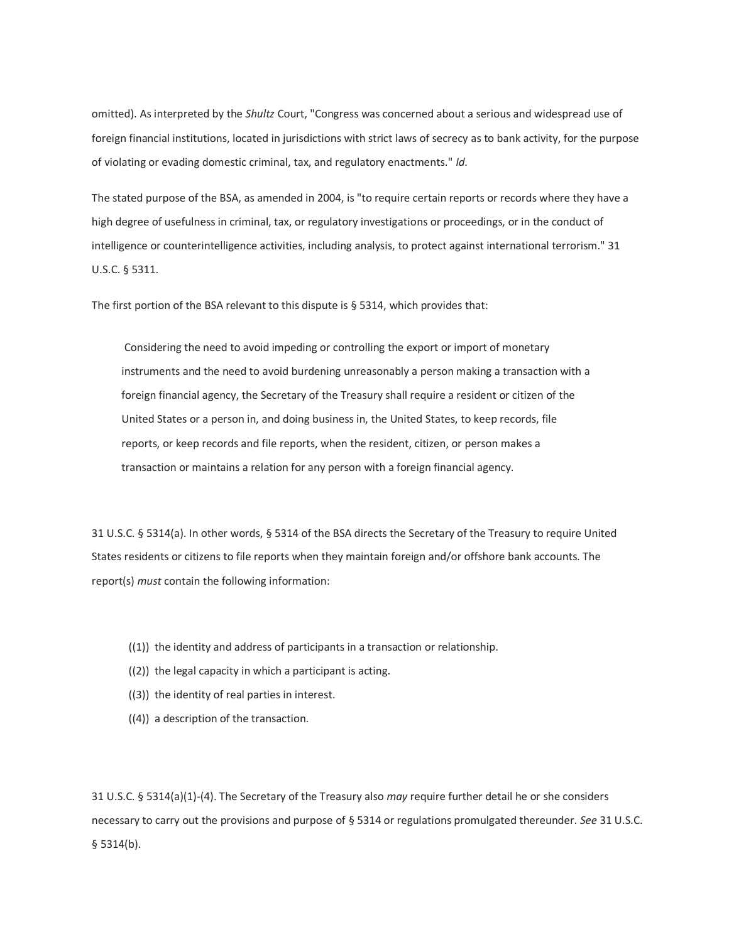omitted). As interpreted by the *Shultz* Court, "Congress was concerned about a serious and widespread use of foreign financial institutions, located in jurisdictions with strict laws of secrecy as to bank activity, for the purpose of violating or evading domestic criminal, tax, and regulatory enactments." *Id.*

The stated purpose of the BSA, as amended in 2004, is "to require certain reports or records where they have a high degree of usefulness in criminal, tax, or regulatory investigations or proceedings, or in the conduct of intelligence or counterintelligence activities, including analysis, to protect against international terrorism." 31 U.S.C. § 5311.

The first portion of the BSA relevant to this dispute is § 5314, which provides that:

Considering the need to avoid impeding or controlling the export or import of monetary instruments and the need to avoid burdening unreasonably a person making a transaction with a foreign financial agency, the Secretary of the Treasury shall require a resident or citizen of the United States or a person in, and doing business in, the United States, to keep records, file reports, or keep records and file reports, when the resident, citizen, or person makes a transaction or maintains a relation for any person with a foreign financial agency.

31 U.S.C. § 5314(a). In other words, § 5314 of the BSA directs the Secretary of the Treasury to require United States residents or citizens to file reports when they maintain foreign and/or offshore bank accounts. The report(s) *must* contain the following information:

- ((1)) the identity and address of participants in a transaction or relationship.
- ((2)) the legal capacity in which a participant is acting.
- ((3)) the identity of real parties in interest.
- ((4)) a description of the transaction.

31 U.S.C. § 5314(a)(1)-(4). The Secretary of the Treasury also *may* require further detail he or she considers necessary to carry out the provisions and purpose of § 5314 or regulations promulgated thereunder. *See* 31 U.S.C. § 5314(b).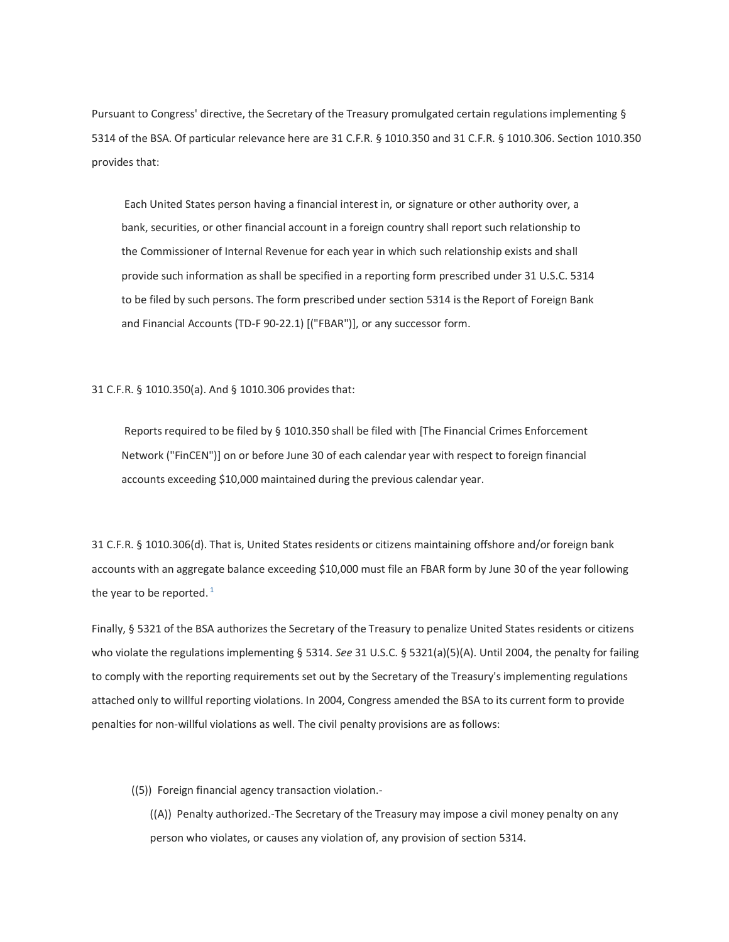Pursuant to Congress' directive, the Secretary of the Treasury promulgated certain regulations implementing § 5314 of the BSA. Of particular relevance here are 31 C.F.R. § 1010.350 and 31 C.F.R. § 1010.306. Section 1010.350 provides that:

Each United States person having a financial interest in, or signature or other authority over, a bank, securities, or other financial account in a foreign country shall report such relationship to the Commissioner of Internal Revenue for each year in which such relationship exists and shall provide such information as shall be specified in a reporting form prescribed under 31 U.S.C. 5314 to be filed by such persons. The form prescribed under section 5314 is the Report of Foreign Bank and Financial Accounts (TD-F 90-22.1) [("FBAR")], or any successor form.

31 C.F.R. § 1010.350(a). And § 1010.306 provides that:

Reports required to be filed by § 1010.350 shall be filed with [The Financial Crimes Enforcement Network ("FinCEN")] on or before June 30 of each calendar year with respect to foreign financial accounts exceeding \$10,000 maintained during the previous calendar year.

31 C.F.R. § 1010.306(d). That is, United States residents or citizens maintaining offshore and/or foreign bank accounts with an aggregate balance exceeding \$10,000 must file an FBAR form by June 30 of the year following the year to be reported. $<sup>1</sup>$ </sup>

Finally, § 5321 of the BSA authorizes the Secretary of the Treasury to penalize United States residents or citizens who violate the regulations implementing § 5314. *See* 31 U.S.C. § 5321(a)(5)(A). Until 2004, the penalty for failing to comply with the reporting requirements set out by the Secretary of the Treasury's implementing regulations attached only to willful reporting violations. In 2004, Congress amended the BSA to its current form to provide penalties for non-willful violations as well. The civil penalty provisions are as follows:

((5)) Foreign financial agency transaction violation.-

((A)) Penalty authorized.-The Secretary of the Treasury may impose a civil money penalty on any person who violates, or causes any violation of, any provision of section 5314.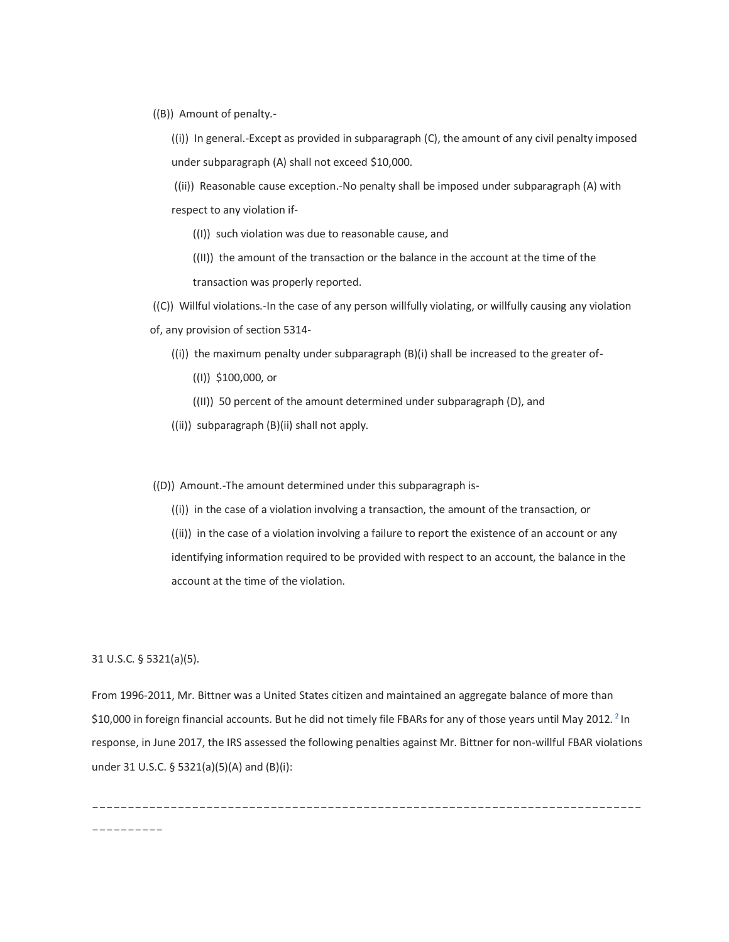((B)) Amount of penalty.-

((i)) In general.-Except as provided in subparagraph (C), the amount of any civil penalty imposed under subparagraph (A) shall not exceed \$10,000.

((ii)) Reasonable cause exception.-No penalty shall be imposed under subparagraph (A) with respect to any violation if-

- ((I)) such violation was due to reasonable cause, and
- ((II)) the amount of the transaction or the balance in the account at the time of the transaction was properly reported.

((C)) Willful violations.-In the case of any person willfully violating, or willfully causing any violation of, any provision of section 5314-

- ((i)) the maximum penalty under subparagraph (B)(i) shall be increased to the greater of-
	- ((I)) \$100,000, or
	- ((II)) 50 percent of the amount determined under subparagraph (D), and
- ((ii)) subparagraph (B)(ii) shall not apply.

((D)) Amount.-The amount determined under this subparagraph is-

((i)) in the case of a violation involving a transaction, the amount of the transaction, or

((ii)) in the case of a violation involving a failure to report the existence of an account or any identifying information required to be provided with respect to an account, the balance in the account at the time of the violation.

31 U.S.C. § 5321(a)(5).

From 1996-2011, Mr. Bittner was a United States citizen and maintained an aggregate balance of more than \$10,000 in foreign financial accounts. But he did not timely file FBARs for any of those years until May 2012. <sup>2</sup> In response, in June 2017, the IRS assessed the following penalties against Mr. Bittner for non-willful FBAR violations under 31 U.S.C. § 5321(a)(5)(A) and (B)(i):

----------------------------------------------------------------------------- ----------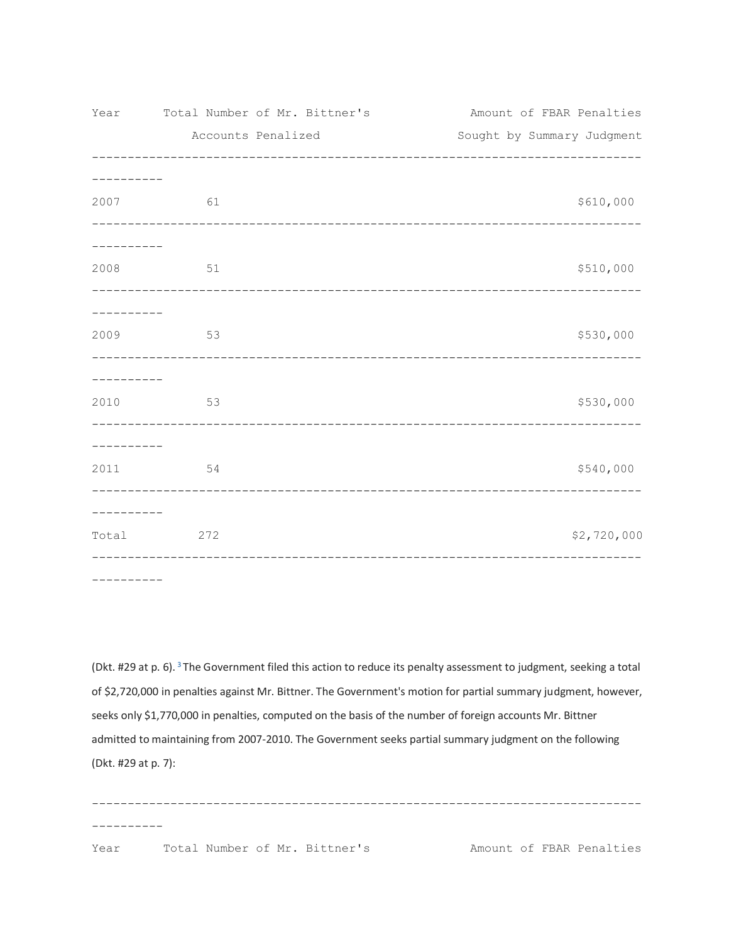| Year                | Total Number of Mr. Bittner's       | Amount of FBAR Penalties      |
|---------------------|-------------------------------------|-------------------------------|
|                     | Accounts Penalized                  | Sought by Summary Judgment    |
|                     |                                     |                               |
| 2007                | 61                                  | \$610,000                     |
| ---------           |                                     |                               |
| 2008                | 51                                  | \$510,000                     |
| ----------          | ----------------------------------- | ----------------------------- |
| 2009                | 53                                  | \$530,000                     |
| ---------           |                                     |                               |
| 2010                | 53                                  | \$530,000                     |
| ---------           |                                     |                               |
| 2011 \              | 54                                  | \$540,000                     |
| . _ _ _ _ _ _ _ _ _ |                                     |                               |
| Total               | 272                                 | \$2,720,000                   |
|                     |                                     |                               |

----------

(Dkt. #29 at p. 6). <sup>3</sup>The Government filed this action to reduce its penalty assessment to judgment, seeking a total of \$2,720,000 in penalties against Mr. Bittner. The Government's motion for partial summary judgment, however, seeks only \$1,770,000 in penalties, computed on the basis of the number of foreign accounts Mr. Bittner admitted to maintaining from 2007-2010. The Government seeks partial summary judgment on the following (Dkt. #29 at p. 7):

----------------------------------------------------------------------------- ---------- Year Total Number of Mr. Bittner's Amount of FBAR Penalties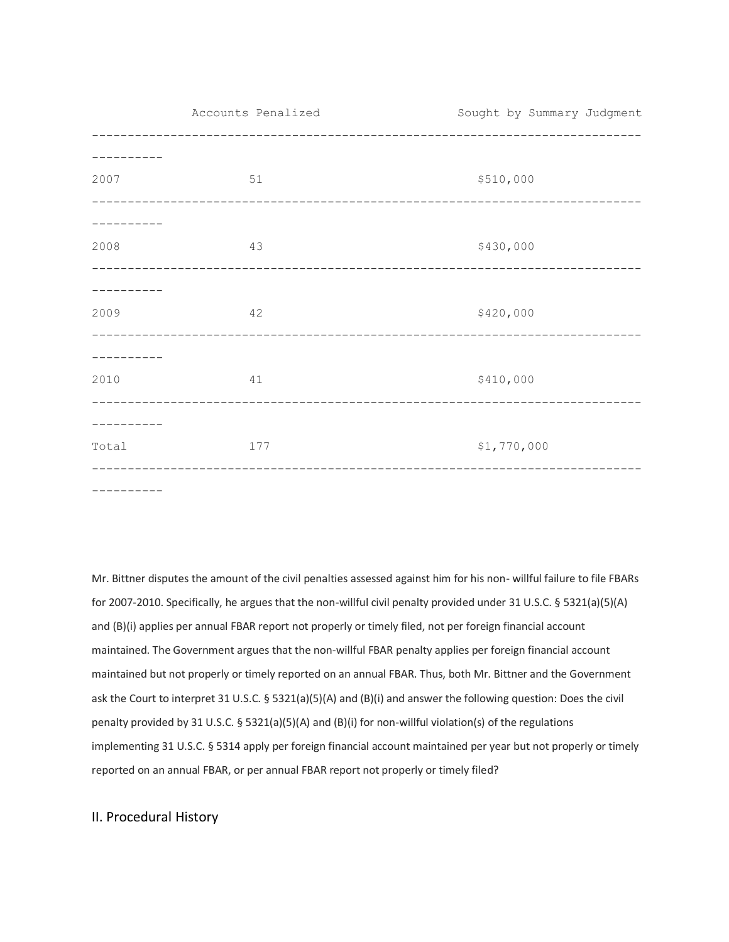Accounts Penalized Sought by Summary Judgment ----------------------------------------------------------------------------- ---------- 2007 51 51 \$510,000 ----------------------------------------------------------------------------- ---------- 2008 **43 43 43 430,000** ----------------------------------------------------------------------------- ---------- 2009 42 \$420,000 ----------------------------------------------------------------------------- ---------- 2010 41 \$410,000 ----------------------------------------------------------------------------- ---------- Total 177 177 \$1,770,000 ----------------------------------------------------------------------------- ----------

Mr. Bittner disputes the amount of the civil penalties assessed against him for his non- willful failure to file FBARs for 2007-2010. Specifically, he argues that the non-willful civil penalty provided under 31 U.S.C. § 5321(a)(5)(A) and (B)(i) applies per annual FBAR report not properly or timely filed, not per foreign financial account maintained. The Government argues that the non-willful FBAR penalty applies per foreign financial account maintained but not properly or timely reported on an annual FBAR. Thus, both Mr. Bittner and the Government ask the Court to interpret 31 U.S.C. § 5321(a)(5)(A) and (B)(i) and answer the following question: Does the civil penalty provided by 31 U.S.C. § 5321(a)(5)(A) and (B)(i) for non-willful violation(s) of the regulations implementing 31 U.S.C. § 5314 apply per foreign financial account maintained per year but not properly or timely reported on an annual FBAR, or per annual FBAR report not properly or timely filed?

## II. Procedural History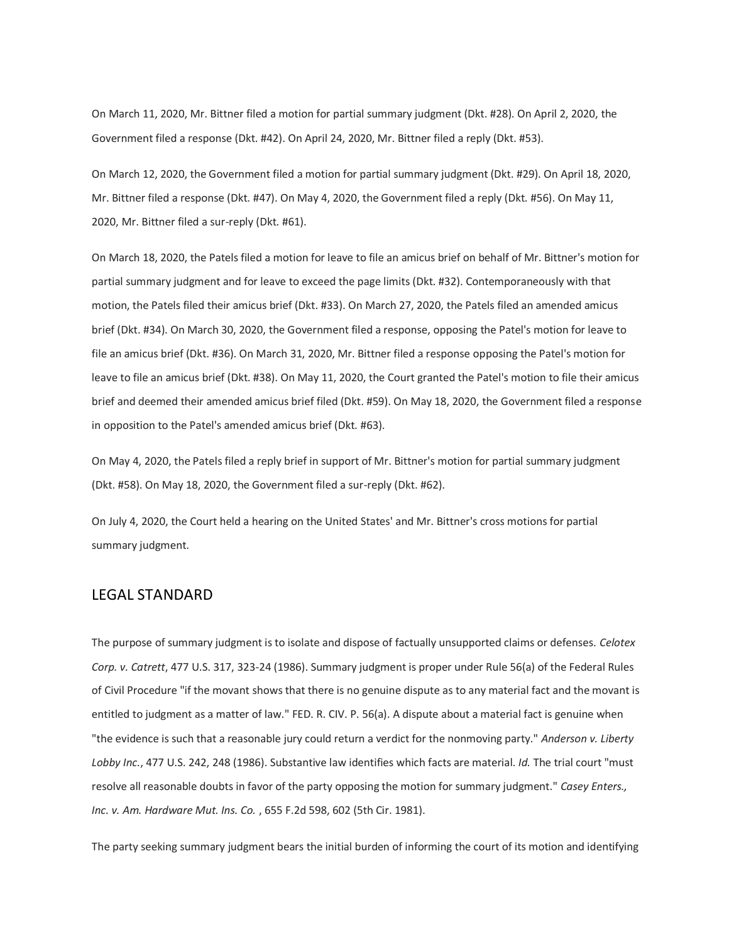On March 11, 2020, Mr. Bittner filed a motion for partial summary judgment (Dkt. #28). On April 2, 2020, the Government filed a response (Dkt. #42). On April 24, 2020, Mr. Bittner filed a reply (Dkt. #53).

On March 12, 2020, the Government filed a motion for partial summary judgment (Dkt. #29). On April 18, 2020, Mr. Bittner filed a response (Dkt. #47). On May 4, 2020, the Government filed a reply (Dkt. #56). On May 11, 2020, Mr. Bittner filed a sur-reply (Dkt. #61).

On March 18, 2020, the Patels filed a motion for leave to file an amicus brief on behalf of Mr. Bittner's motion for partial summary judgment and for leave to exceed the page limits (Dkt. #32). Contemporaneously with that motion, the Patels filed their amicus brief (Dkt. #33). On March 27, 2020, the Patels filed an amended amicus brief (Dkt. #34). On March 30, 2020, the Government filed a response, opposing the Patel's motion for leave to file an amicus brief (Dkt. #36). On March 31, 2020, Mr. Bittner filed a response opposing the Patel's motion for leave to file an amicus brief (Dkt. #38). On May 11, 2020, the Court granted the Patel's motion to file their amicus brief and deemed their amended amicus brief filed (Dkt. #59). On May 18, 2020, the Government filed a response in opposition to the Patel's amended amicus brief (Dkt. #63).

On May 4, 2020, the Patels filed a reply brief in support of Mr. Bittner's motion for partial summary judgment (Dkt. #58). On May 18, 2020, the Government filed a sur-reply (Dkt. #62).

On July 4, 2020, the Court held a hearing on the United States' and Mr. Bittner's cross motions for partial summary judgment.

### LEGAL STANDARD

The purpose of summary judgment is to isolate and dispose of factually unsupported claims or defenses. *Celotex Corp. v. Catrett*, 477 U.S. 317, 323-24 (1986). Summary judgment is proper under Rule 56(a) of the Federal Rules of Civil Procedure "if the movant shows that there is no genuine dispute as to any material fact and the movant is entitled to judgment as a matter of law." FED. R. CIV. P. 56(a). A dispute about a material fact is genuine when "the evidence is such that a reasonable jury could return a verdict for the nonmoving party." *Anderson v. Liberty Lobby Inc.*, 477 U.S. 242, 248 (1986). Substantive law identifies which facts are material. *Id.* The trial court "must resolve all reasonable doubts in favor of the party opposing the motion for summary judgment." *Casey Enters., Inc. v. Am. Hardware Mut. Ins. Co.* , 655 F.2d 598, 602 (5th Cir. 1981).

The party seeking summary judgment bears the initial burden of informing the court of its motion and identifying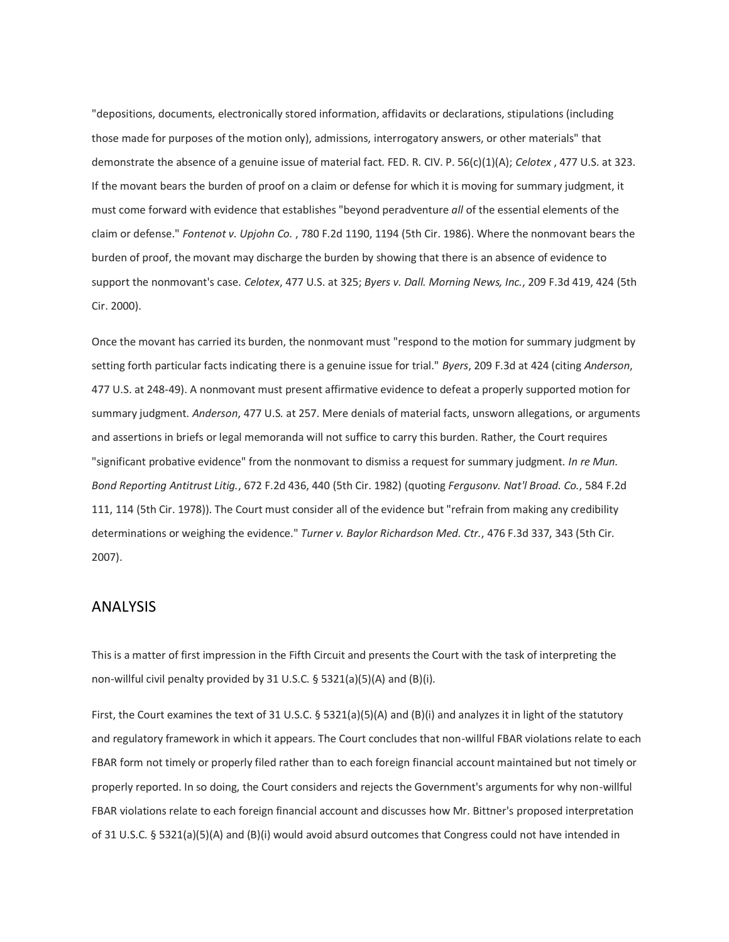"depositions, documents, electronically stored information, affidavits or declarations, stipulations (including those made for purposes of the motion only), admissions, interrogatory answers, or other materials" that demonstrate the absence of a genuine issue of material fact. FED. R. CIV. P. 56(c)(1)(A); *Celotex* , 477 U.S. at 323. If the movant bears the burden of proof on a claim or defense for which it is moving for summary judgment, it must come forward with evidence that establishes "beyond peradventure *all* of the essential elements of the claim or defense." *Fontenot v. Upjohn Co.* , 780 F.2d 1190, 1194 (5th Cir. 1986). Where the nonmovant bears the burden of proof, the movant may discharge the burden by showing that there is an absence of evidence to support the nonmovant's case. *Celotex*, 477 U.S. at 325; *Byers v. Dall. Morning News, Inc.*, 209 F.3d 419, 424 (5th Cir. 2000).

Once the movant has carried its burden, the nonmovant must "respond to the motion for summary judgment by setting forth particular facts indicating there is a genuine issue for trial." *Byers*, 209 F.3d at 424 (citing *Anderson*, 477 U.S. at 248-49). A nonmovant must present affirmative evidence to defeat a properly supported motion for summary judgment. *Anderson*, 477 U.S. at 257. Mere denials of material facts, unsworn allegations, or arguments and assertions in briefs or legal memoranda will not suffice to carry this burden. Rather, the Court requires "significant probative evidence" from the nonmovant to dismiss a request for summary judgment. *In re Mun. Bond Reporting Antitrust Litig.*, 672 F.2d 436, 440 (5th Cir. 1982) (quoting *Fergusonv. Nat'l Broad. Co.*, 584 F.2d 111, 114 (5th Cir. 1978)). The Court must consider all of the evidence but "refrain from making any credibility determinations or weighing the evidence." *Turner v. Baylor Richardson Med. Ctr.*, 476 F.3d 337, 343 (5th Cir. 2007).

## ANALYSIS

This is a matter of first impression in the Fifth Circuit and presents the Court with the task of interpreting the non-willful civil penalty provided by 31 U.S.C. § 5321(a)(5)(A) and (B)(i).

First, the Court examines the text of 31 U.S.C.  $\S$  5321(a)(5)(A) and (B)(i) and analyzes it in light of the statutory and regulatory framework in which it appears. The Court concludes that non-willful FBAR violations relate to each FBAR form not timely or properly filed rather than to each foreign financial account maintained but not timely or properly reported. In so doing, the Court considers and rejects the Government's arguments for why non-willful FBAR violations relate to each foreign financial account and discusses how Mr. Bittner's proposed interpretation of 31 U.S.C. § 5321(a)(5)(A) and (B)(i) would avoid absurd outcomes that Congress could not have intended in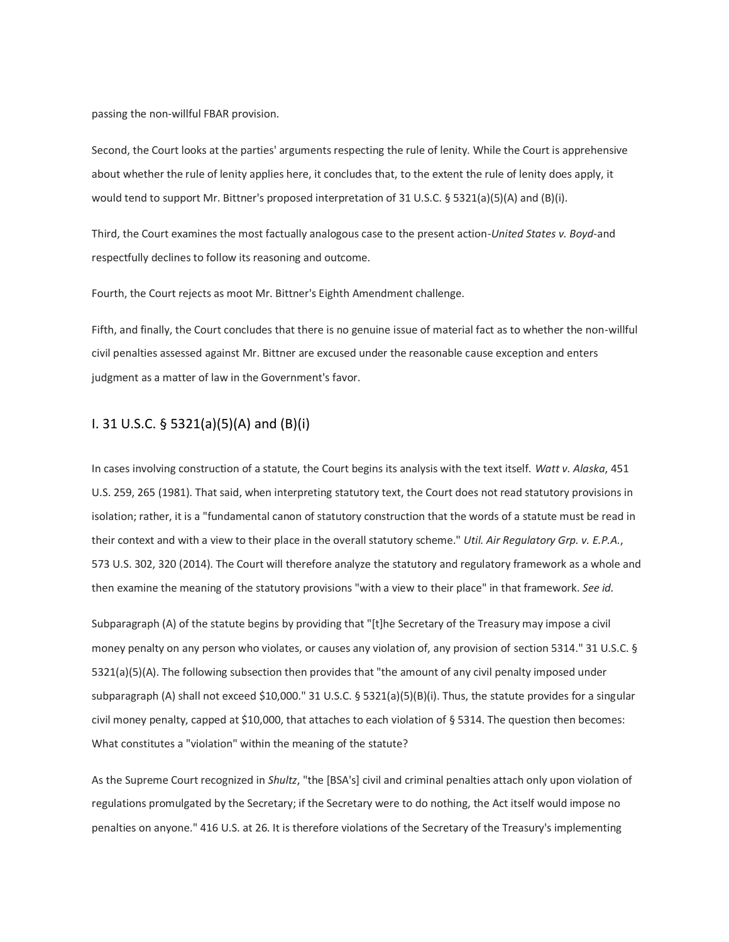passing the non-willful FBAR provision.

Second, the Court looks at the parties' arguments respecting the rule of lenity. While the Court is apprehensive about whether the rule of lenity applies here, it concludes that, to the extent the rule of lenity does apply, it would tend to support Mr. Bittner's proposed interpretation of 31 U.S.C. § 5321(a)(5)(A) and (B)(i).

Third, the Court examines the most factually analogous case to the present action-*United States v. Boyd*-and respectfully declines to follow its reasoning and outcome.

Fourth, the Court rejects as moot Mr. Bittner's Eighth Amendment challenge.

Fifth, and finally, the Court concludes that there is no genuine issue of material fact as to whether the non-willful civil penalties assessed against Mr. Bittner are excused under the reasonable cause exception and enters judgment as a matter of law in the Government's favor.

### I. 31 U.S.C. § 5321(a)(5)(A) and (B)(i)

In cases involving construction of a statute, the Court begins its analysis with the text itself. *Watt v. Alaska*, 451 U.S. 259, 265 (1981). That said, when interpreting statutory text, the Court does not read statutory provisions in isolation; rather, it is a "fundamental canon of statutory construction that the words of a statute must be read in their context and with a view to their place in the overall statutory scheme." *Util. Air Regulatory Grp. v. E.P.A.*, 573 U.S. 302, 320 (2014). The Court will therefore analyze the statutory and regulatory framework as a whole and then examine the meaning of the statutory provisions "with a view to their place" in that framework. *See id.*

Subparagraph (A) of the statute begins by providing that "[t]he Secretary of the Treasury may impose a civil money penalty on any person who violates, or causes any violation of, any provision of section 5314." 31 U.S.C. § 5321(a)(5)(A). The following subsection then provides that "the amount of any civil penalty imposed under subparagraph (A) shall not exceed \$10,000." 31 U.S.C. § 5321(a)(5)(B)(i). Thus, the statute provides for a singular civil money penalty, capped at \$10,000, that attaches to each violation of § 5314. The question then becomes: What constitutes a "violation" within the meaning of the statute?

As the Supreme Court recognized in *Shultz*, "the [BSA's] civil and criminal penalties attach only upon violation of regulations promulgated by the Secretary; if the Secretary were to do nothing, the Act itself would impose no penalties on anyone." 416 U.S. at 26. It is therefore violations of the Secretary of the Treasury's implementing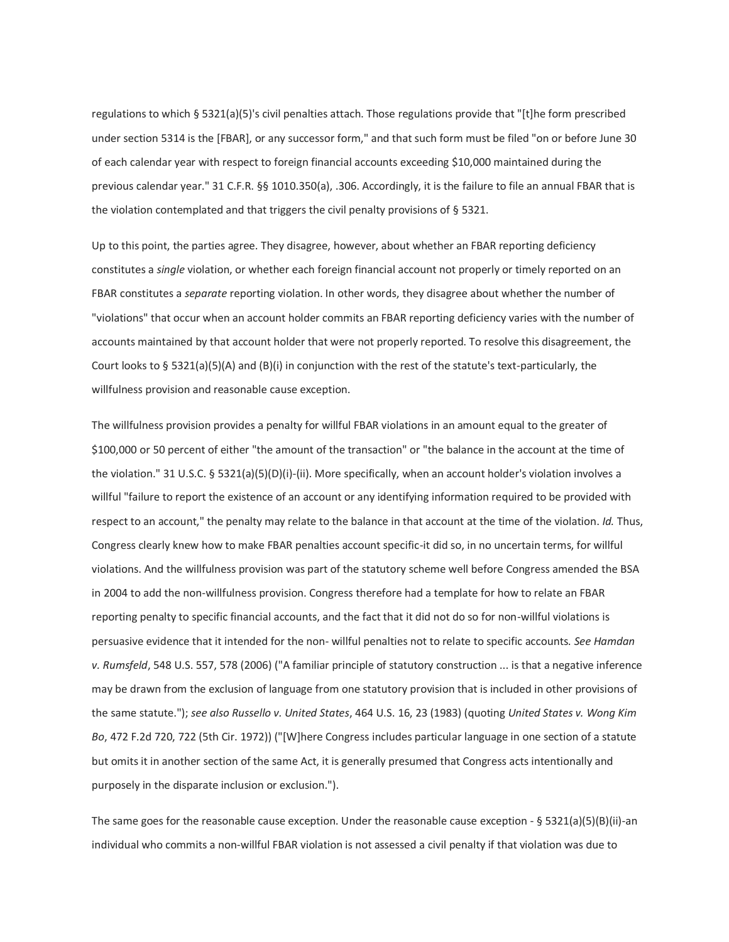regulations to which § 5321(a)(5)'s civil penalties attach. Those regulations provide that "[t]he form prescribed under section 5314 is the [FBAR], or any successor form," and that such form must be filed "on or before June 30 of each calendar year with respect to foreign financial accounts exceeding \$10,000 maintained during the previous calendar year." 31 C.F.R. §§ 1010.350(a), .306. Accordingly, it is the failure to file an annual FBAR that is the violation contemplated and that triggers the civil penalty provisions of § 5321.

Up to this point, the parties agree. They disagree, however, about whether an FBAR reporting deficiency constitutes a *single* violation, or whether each foreign financial account not properly or timely reported on an FBAR constitutes a *separate* reporting violation. In other words, they disagree about whether the number of "violations" that occur when an account holder commits an FBAR reporting deficiency varies with the number of accounts maintained by that account holder that were not properly reported. To resolve this disagreement, the Court looks to § 5321(a)(5)(A) and (B)(i) in conjunction with the rest of the statute's text-particularly, the willfulness provision and reasonable cause exception.

The willfulness provision provides a penalty for willful FBAR violations in an amount equal to the greater of \$100,000 or 50 percent of either "the amount of the transaction" or "the balance in the account at the time of the violation." 31 U.S.C. § 5321(a)(5)(D)(i)-(ii). More specifically, when an account holder's violation involves a willful "failure to report the existence of an account or any identifying information required to be provided with respect to an account," the penalty may relate to the balance in that account at the time of the violation. *Id.* Thus, Congress clearly knew how to make FBAR penalties account specific-it did so, in no uncertain terms, for willful violations. And the willfulness provision was part of the statutory scheme well before Congress amended the BSA in 2004 to add the non-willfulness provision. Congress therefore had a template for how to relate an FBAR reporting penalty to specific financial accounts, and the fact that it did not do so for non-willful violations is persuasive evidence that it intended for the non- willful penalties not to relate to specific accounts. *See Hamdan v. Rumsfeld*, 548 U.S. 557, 578 (2006) ("A familiar principle of statutory construction ... is that a negative inference may be drawn from the exclusion of language from one statutory provision that is included in other provisions of the same statute."); *see also Russello v. United States*, 464 U.S. 16, 23 (1983) (quoting *United States v. Wong Kim Bo*, 472 F.2d 720, 722 (5th Cir. 1972)) ("[W]here Congress includes particular language in one section of a statute but omits it in another section of the same Act, it is generally presumed that Congress acts intentionally and purposely in the disparate inclusion or exclusion.").

The same goes for the reasonable cause exception. Under the reasonable cause exception - § 5321(a)(5)(B)(ii)-an individual who commits a non-willful FBAR violation is not assessed a civil penalty if that violation was due to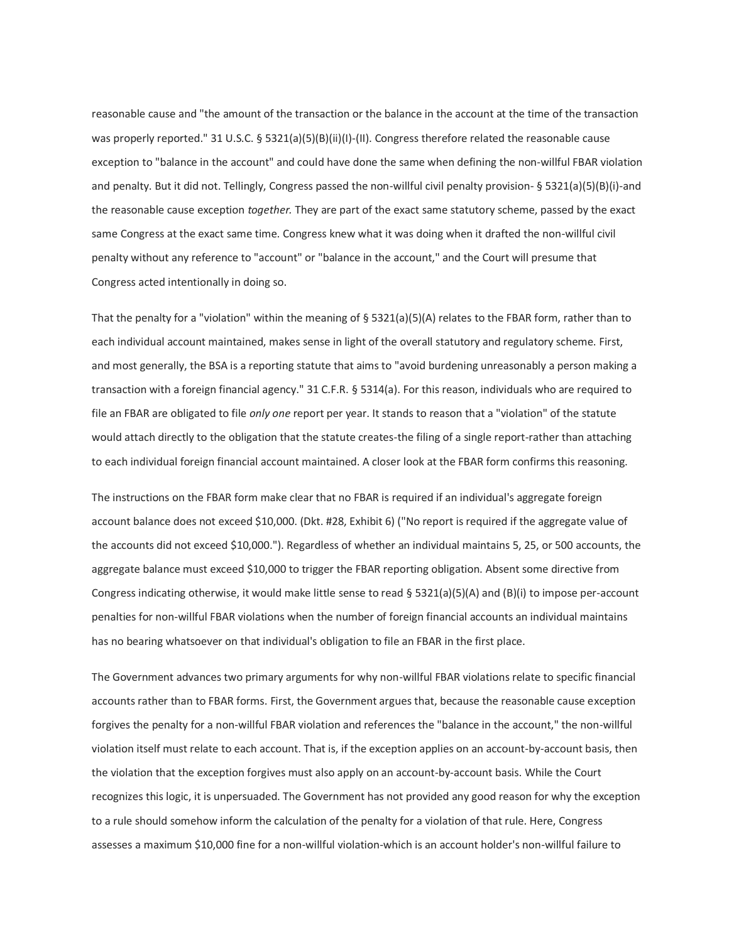reasonable cause and "the amount of the transaction or the balance in the account at the time of the transaction was properly reported." 31 U.S.C. § 5321(a)(5)(B)(ii)(I)-(II). Congress therefore related the reasonable cause exception to "balance in the account" and could have done the same when defining the non-willful FBAR violation and penalty. But it did not. Tellingly, Congress passed the non-willful civil penalty provision- § 5321(a)(5)(B)(i)-and the reasonable cause exception *together.* They are part of the exact same statutory scheme, passed by the exact same Congress at the exact same time. Congress knew what it was doing when it drafted the non-willful civil penalty without any reference to "account" or "balance in the account," and the Court will presume that Congress acted intentionally in doing so.

That the penalty for a "violation" within the meaning of § 5321(a)(5)(A) relates to the FBAR form, rather than to each individual account maintained, makes sense in light of the overall statutory and regulatory scheme. First, and most generally, the BSA is a reporting statute that aims to "avoid burdening unreasonably a person making a transaction with a foreign financial agency." 31 C.F.R. § 5314(a). For this reason, individuals who are required to file an FBAR are obligated to file *only one* report per year. It stands to reason that a "violation" of the statute would attach directly to the obligation that the statute creates-the filing of a single report-rather than attaching to each individual foreign financial account maintained. A closer look at the FBAR form confirms this reasoning.

The instructions on the FBAR form make clear that no FBAR is required if an individual's aggregate foreign account balance does not exceed \$10,000. (Dkt. #28, Exhibit 6) ("No report is required if the aggregate value of the accounts did not exceed \$10,000."). Regardless of whether an individual maintains 5, 25, or 500 accounts, the aggregate balance must exceed \$10,000 to trigger the FBAR reporting obligation. Absent some directive from Congress indicating otherwise, it would make little sense to read § 5321(a)(5)(A) and (B)(i) to impose per-account penalties for non-willful FBAR violations when the number of foreign financial accounts an individual maintains has no bearing whatsoever on that individual's obligation to file an FBAR in the first place.

The Government advances two primary arguments for why non-willful FBAR violations relate to specific financial accounts rather than to FBAR forms. First, the Government argues that, because the reasonable cause exception forgives the penalty for a non-willful FBAR violation and references the "balance in the account," the non-willful violation itself must relate to each account. That is, if the exception applies on an account-by-account basis, then the violation that the exception forgives must also apply on an account-by-account basis. While the Court recognizes this logic, it is unpersuaded. The Government has not provided any good reason for why the exception to a rule should somehow inform the calculation of the penalty for a violation of that rule. Here, Congress assesses a maximum \$10,000 fine for a non-willful violation-which is an account holder's non-willful failure to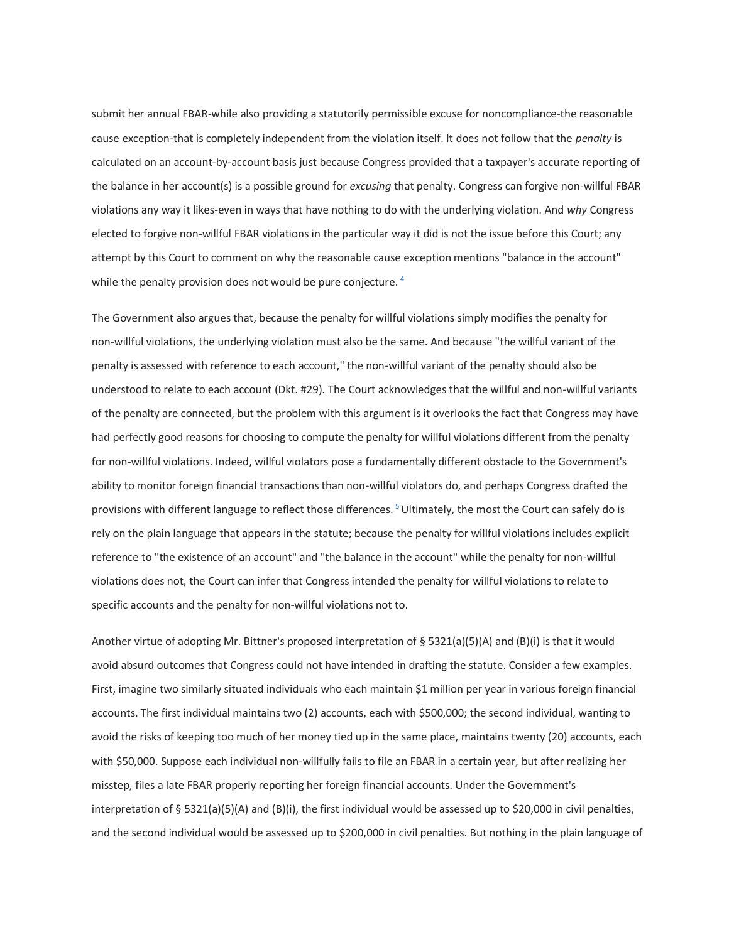submit her annual FBAR-while also providing a statutorily permissible excuse for noncompliance-the reasonable cause exception-that is completely independent from the violation itself. It does not follow that the *penalty* is calculated on an account-by-account basis just because Congress provided that a taxpayer's accurate reporting of the balance in her account(s) is a possible ground for *excusing* that penalty. Congress can forgive non-willful FBAR violations any way it likes-even in ways that have nothing to do with the underlying violation. And *why* Congress elected to forgive non-willful FBAR violations in the particular way it did is not the issue before this Court; any attempt by this Court to comment on why the reasonable cause exception mentions "balance in the account" while the penalty provision does not would be pure conjecture.  $4$ 

The Government also argues that, because the penalty for willful violations simply modifies the penalty for non-willful violations, the underlying violation must also be the same. And because "the willful variant of the penalty is assessed with reference to each account," the non-willful variant of the penalty should also be understood to relate to each account (Dkt. #29). The Court acknowledges that the willful and non-willful variants of the penalty are connected, but the problem with this argument is it overlooks the fact that Congress may have had perfectly good reasons for choosing to compute the penalty for willful violations different from the penalty for non-willful violations. Indeed, willful violators pose a fundamentally different obstacle to the Government's ability to monitor foreign financial transactions than non-willful violators do, and perhaps Congress drafted the provisions with different language to reflect those differences.<sup>5</sup> Ultimately, the most the Court can safely do is rely on the plain language that appears in the statute; because the penalty for willful violations includes explicit reference to "the existence of an account" and "the balance in the account" while the penalty for non-willful violations does not, the Court can infer that Congress intended the penalty for willful violations to relate to specific accounts and the penalty for non-willful violations not to.

Another virtue of adopting Mr. Bittner's proposed interpretation of § 5321(a)(5)(A) and (B)(i) is that it would avoid absurd outcomes that Congress could not have intended in drafting the statute. Consider a few examples. First, imagine two similarly situated individuals who each maintain \$1 million per year in various foreign financial accounts. The first individual maintains two (2) accounts, each with \$500,000; the second individual, wanting to avoid the risks of keeping too much of her money tied up in the same place, maintains twenty (20) accounts, each with \$50,000. Suppose each individual non-willfully fails to file an FBAR in a certain year, but after realizing her misstep, files a late FBAR properly reporting her foreign financial accounts. Under the Government's interpretation of § 5321(a)(5)(A) and (B)(i), the first individual would be assessed up to \$20,000 in civil penalties, and the second individual would be assessed up to \$200,000 in civil penalties. But nothing in the plain language of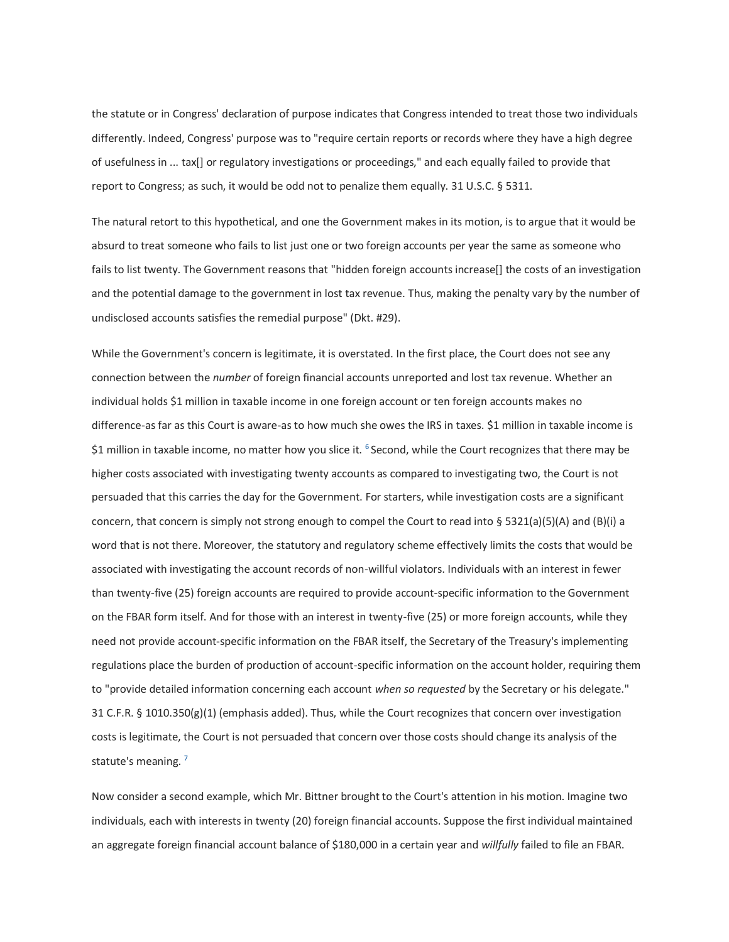the statute or in Congress' declaration of purpose indicates that Congress intended to treat those two individuals differently. Indeed, Congress' purpose was to "require certain reports or records where they have a high degree of usefulness in ... tax[] or regulatory investigations or proceedings," and each equally failed to provide that report to Congress; as such, it would be odd not to penalize them equally. 31 U.S.C. § 5311.

The natural retort to this hypothetical, and one the Government makes in its motion, is to argue that it would be absurd to treat someone who fails to list just one or two foreign accounts per year the same as someone who fails to list twenty. The Government reasons that "hidden foreign accounts increase[] the costs of an investigation and the potential damage to the government in lost tax revenue. Thus, making the penalty vary by the number of undisclosed accounts satisfies the remedial purpose" (Dkt. #29).

While the Government's concern is legitimate, it is overstated. In the first place, the Court does not see any connection between the *number* of foreign financial accounts unreported and lost tax revenue. Whether an individual holds \$1 million in taxable income in one foreign account or ten foreign accounts makes no difference-as far as this Court is aware-as to how much she owes the IRS in taxes. \$1 million in taxable income is \$1 million in taxable income, no matter how you slice it.  $6$  Second, while the Court recognizes that there may be higher costs associated with investigating twenty accounts as compared to investigating two, the Court is not persuaded that this carries the day for the Government. For starters, while investigation costs are a significant concern, that concern is simply not strong enough to compel the Court to read into § 5321(a)(5)(A) and (B)(i) a word that is not there. Moreover, the statutory and regulatory scheme effectively limits the costs that would be associated with investigating the account records of non-willful violators. Individuals with an interest in fewer than twenty-five (25) foreign accounts are required to provide account-specific information to the Government on the FBAR form itself. And for those with an interest in twenty-five (25) or more foreign accounts, while they need not provide account-specific information on the FBAR itself, the Secretary of the Treasury's implementing regulations place the burden of production of account-specific information on the account holder, requiring them to "provide detailed information concerning each account *when so requested* by the Secretary or his delegate." 31 C.F.R. § 1010.350(g)(1) (emphasis added). Thus, while the Court recognizes that concern over investigation costs is legitimate, the Court is not persuaded that concern over those costs should change its analysis of the statute's meaning.<sup>7</sup>

Now consider a second example, which Mr. Bittner brought to the Court's attention in his motion. Imagine two individuals, each with interests in twenty (20) foreign financial accounts. Suppose the first individual maintained an aggregate foreign financial account balance of \$180,000 in a certain year and *willfully* failed to file an FBAR.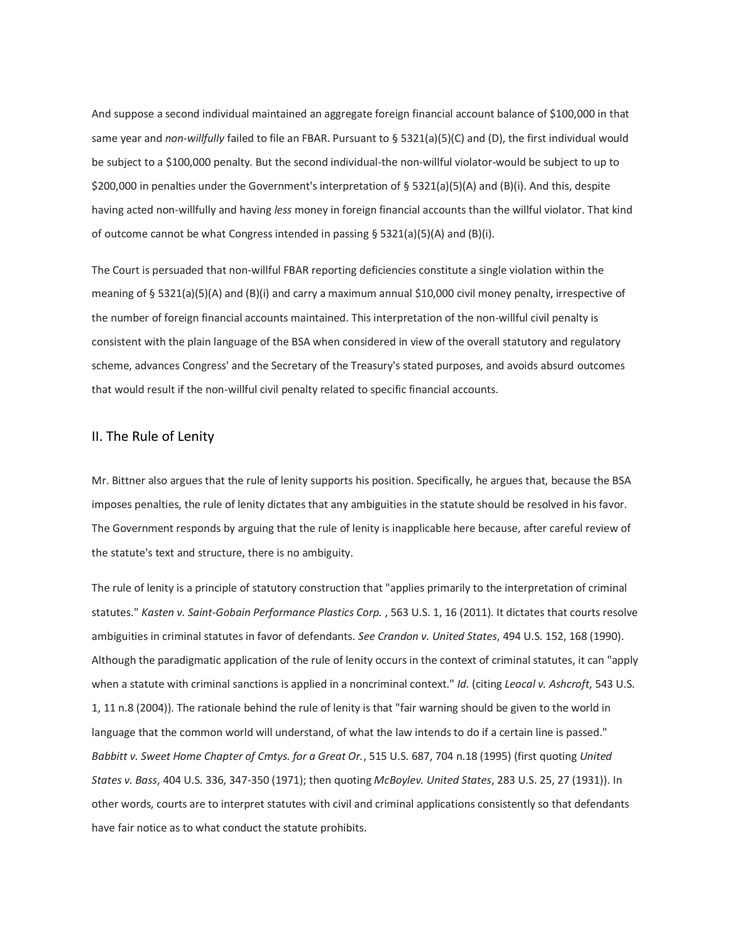And suppose a second individual maintained an aggregate foreign financial account balance of \$100,000 in that same year and *non-willfully* failed to file an FBAR. Pursuant to § 5321(a)(5)(C) and (D), the first individual would be subject to a \$100,000 penalty. But the second individual-the non-willful violator-would be subject to up to \$200,000 in penalties under the Government's interpretation of § 5321(a)(5)(A) and (B)(i). And this, despite having acted non-willfully and having *less* money in foreign financial accounts than the willful violator. That kind of outcome cannot be what Congress intended in passing § 5321(a)(5)(A) and (B)(i).

The Court is persuaded that non-willful FBAR reporting deficiencies constitute a single violation within the meaning of § 5321(a)(5)(A) and (B)(i) and carry a maximum annual \$10,000 civil money penalty, irrespective of the number of foreign financial accounts maintained. This interpretation of the non-willful civil penalty is consistent with the plain language of the BSA when considered in view of the overall statutory and regulatory scheme, advances Congress' and the Secretary of the Treasury's stated purposes, and avoids absurd outcomes that would result if the non-willful civil penalty related to specific financial accounts.

#### II. The Rule of Lenity

Mr. Bittner also argues that the rule of lenity supports his position. Specifically, he argues that, because the BSA imposes penalties, the rule of lenity dictates that any ambiguities in the statute should be resolved in his favor. The Government responds by arguing that the rule of lenity is inapplicable here because, after careful review of the statute's text and structure, there is no ambiguity.

The rule of lenity is a principle of statutory construction that "applies primarily to the interpretation of criminal statutes." *Kasten v. Saint-Gobain Performance Plastics Corp.* , 563 U.S. 1, 16 (2011). It dictates that courts resolve ambiguities in criminal statutes in favor of defendants. *See Crandon v. United States*, 494 U.S. 152, 168 (1990). Although the paradigmatic application of the rule of lenity occurs in the context of criminal statutes, it can "apply when a statute with criminal sanctions is applied in a noncriminal context." *Id.* (citing *Leocal v. Ashcroft*, 543 U.S. 1, 11 n.8 (2004)). The rationale behind the rule of lenity is that "fair warning should be given to the world in language that the common world will understand, of what the law intends to do if a certain line is passed." *Babbitt v. Sweet Home Chapter of Cmtys. for a Great Or.*, 515 U.S. 687, 704 n.18 (1995) (first quoting *United States v. Bass*, 404 U.S. 336, 347-350 (1971); then quoting *McBoylev. United States*, 283 U.S. 25, 27 (1931)). In other words, courts are to interpret statutes with civil and criminal applications consistently so that defendants have fair notice as to what conduct the statute prohibits.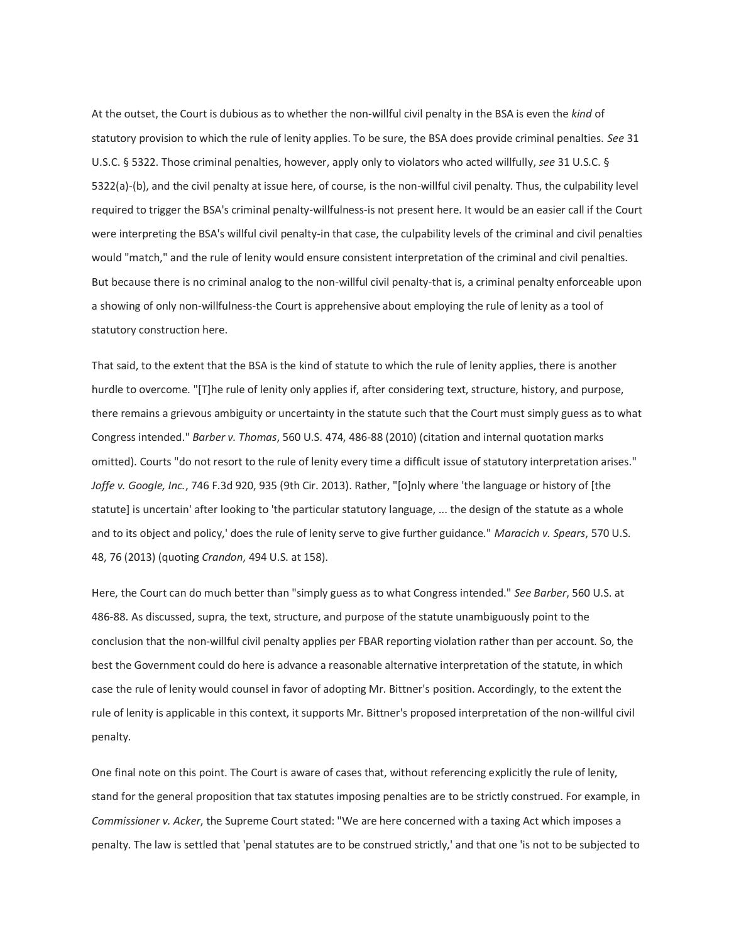At the outset, the Court is dubious as to whether the non-willful civil penalty in the BSA is even the *kind* of statutory provision to which the rule of lenity applies. To be sure, the BSA does provide criminal penalties. *See* 31 U.S.C. § 5322. Those criminal penalties, however, apply only to violators who acted willfully, *see* 31 U.S.C. § 5322(a)-(b), and the civil penalty at issue here, of course, is the non-willful civil penalty. Thus, the culpability level required to trigger the BSA's criminal penalty-willfulness-is not present here. It would be an easier call if the Court were interpreting the BSA's willful civil penalty-in that case, the culpability levels of the criminal and civil penalties would "match," and the rule of lenity would ensure consistent interpretation of the criminal and civil penalties. But because there is no criminal analog to the non-willful civil penalty-that is, a criminal penalty enforceable upon a showing of only non-willfulness-the Court is apprehensive about employing the rule of lenity as a tool of statutory construction here.

That said, to the extent that the BSA is the kind of statute to which the rule of lenity applies, there is another hurdle to overcome. "[T]he rule of lenity only applies if, after considering text, structure, history, and purpose, there remains a grievous ambiguity or uncertainty in the statute such that the Court must simply guess as to what Congress intended." *Barber v. Thomas*, 560 U.S. 474, 486-88 (2010) (citation and internal quotation marks omitted). Courts "do not resort to the rule of lenity every time a difficult issue of statutory interpretation arises." *Joffe v. Google, Inc.*, 746 F.3d 920, 935 (9th Cir. 2013). Rather, "[o]nly where 'the language or history of [the statute] is uncertain' after looking to 'the particular statutory language, ... the design of the statute as a whole and to its object and policy,' does the rule of lenity serve to give further guidance." *Maracich v. Spears*, 570 U.S. 48, 76 (2013) (quoting *Crandon*, 494 U.S. at 158).

Here, the Court can do much better than "simply guess as to what Congress intended." *See Barber*, 560 U.S. at 486-88. As discussed, supra, the text, structure, and purpose of the statute unambiguously point to the conclusion that the non-willful civil penalty applies per FBAR reporting violation rather than per account. So, the best the Government could do here is advance a reasonable alternative interpretation of the statute, in which case the rule of lenity would counsel in favor of adopting Mr. Bittner's position. Accordingly, to the extent the rule of lenity is applicable in this context, it supports Mr. Bittner's proposed interpretation of the non-willful civil penalty.

One final note on this point. The Court is aware of cases that, without referencing explicitly the rule of lenity, stand for the general proposition that tax statutes imposing penalties are to be strictly construed. For example, in *Commissioner v. Acker*, the Supreme Court stated: "We are here concerned with a taxing Act which imposes a penalty. The law is settled that 'penal statutes are to be construed strictly,' and that one 'is not to be subjected to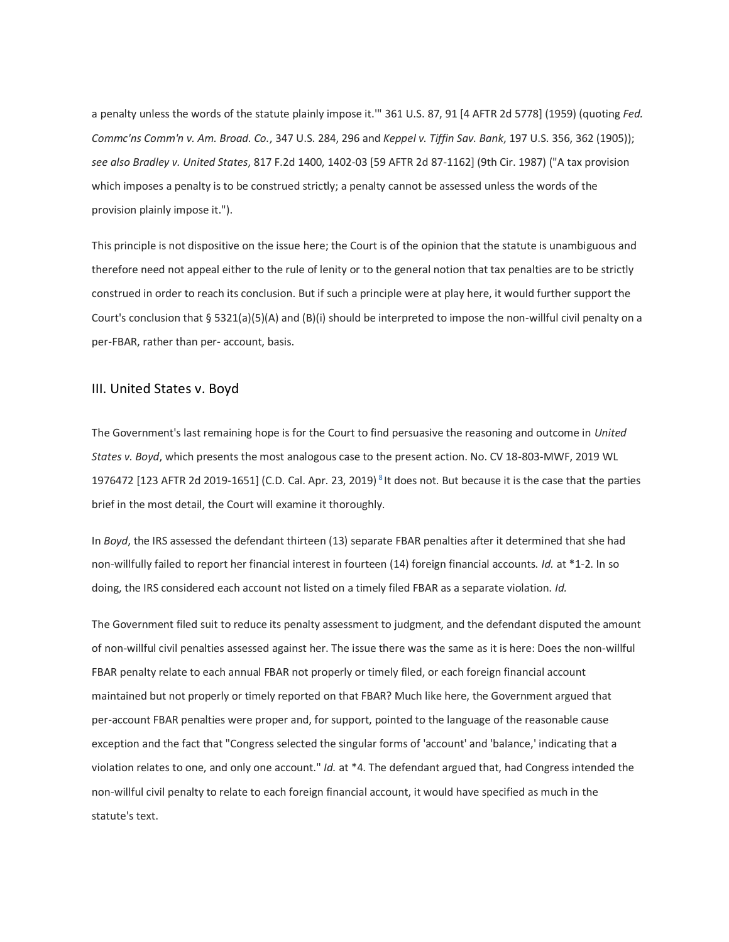a penalty unless the words of the statute plainly impose it.'" 361 U.S. 87, 91 [4 AFTR 2d 5778] (1959) (quoting *Fed. Commc'ns Comm'n v. Am. Broad. Co.*, 347 U.S. 284, 296 and *Keppel v. Tiffin Sav. Bank*, 197 U.S. 356, 362 (1905)); *see also Bradley v. United States*, 817 F.2d 1400, 1402-03 [59 AFTR 2d 87-1162] (9th Cir. 1987) ("A tax provision which imposes a penalty is to be construed strictly; a penalty cannot be assessed unless the words of the provision plainly impose it.").

This principle is not dispositive on the issue here; the Court is of the opinion that the statute is unambiguous and therefore need not appeal either to the rule of lenity or to the general notion that tax penalties are to be strictly construed in order to reach its conclusion. But if such a principle were at play here, it would further support the Court's conclusion that § 5321(a)(5)(A) and (B)(i) should be interpreted to impose the non-willful civil penalty on a per-FBAR, rather than per- account, basis.

#### III. United States v. Boyd

The Government's last remaining hope is for the Court to find persuasive the reasoning and outcome in *United States v. Boyd*, which presents the most analogous case to the present action. No. CV 18-803-MWF, 2019 WL 1976472 [123 AFTR 2d 2019-1651] (C.D. Cal. Apr. 23, 2019)<sup>8</sup> It does not. But because it is the case that the parties brief in the most detail, the Court will examine it thoroughly.

In *Boyd*, the IRS assessed the defendant thirteen (13) separate FBAR penalties after it determined that she had non-willfully failed to report her financial interest in fourteen (14) foreign financial accounts. *Id.* at \*1-2. In so doing, the IRS considered each account not listed on a timely filed FBAR as a separate violation. *Id.*

The Government filed suit to reduce its penalty assessment to judgment, and the defendant disputed the amount of non-willful civil penalties assessed against her. The issue there was the same as it is here: Does the non-willful FBAR penalty relate to each annual FBAR not properly or timely filed, or each foreign financial account maintained but not properly or timely reported on that FBAR? Much like here, the Government argued that per-account FBAR penalties were proper and, for support, pointed to the language of the reasonable cause exception and the fact that "Congress selected the singular forms of 'account' and 'balance,' indicating that a violation relates to one, and only one account." *Id.* at \*4. The defendant argued that, had Congress intended the non-willful civil penalty to relate to each foreign financial account, it would have specified as much in the statute's text.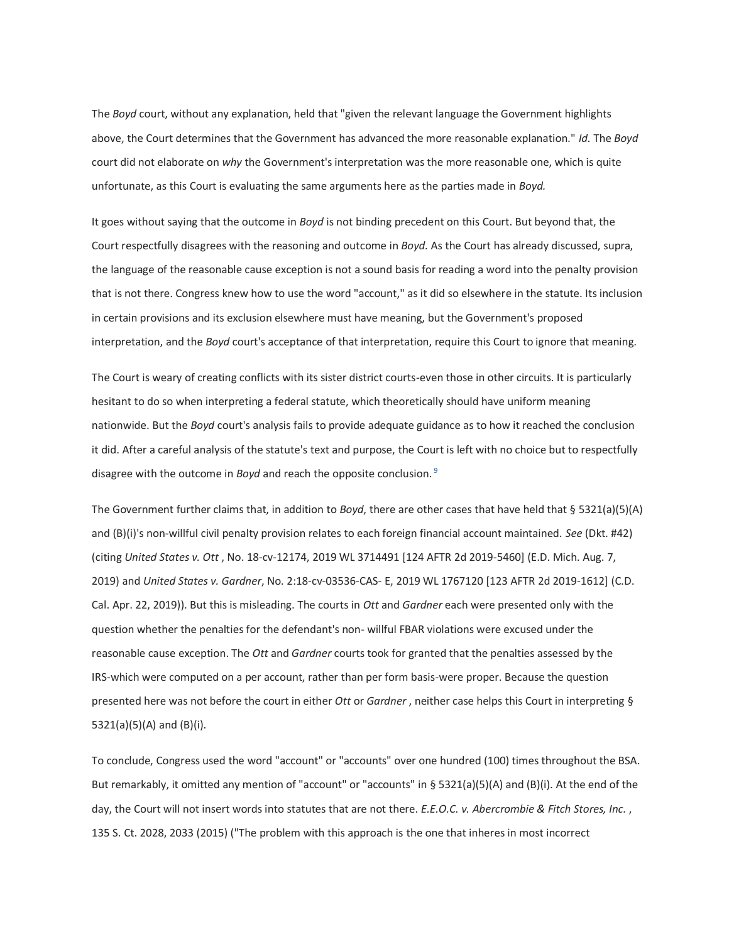The *Boyd* court, without any explanation, held that "given the relevant language the Government highlights above, the Court determines that the Government has advanced the more reasonable explanation." *Id.* The *Boyd* court did not elaborate on *why* the Government's interpretation was the more reasonable one, which is quite unfortunate, as this Court is evaluating the same arguments here as the parties made in *Boyd.*

It goes without saying that the outcome in *Boyd* is not binding precedent on this Court. But beyond that, the Court respectfully disagrees with the reasoning and outcome in *Boyd.* As the Court has already discussed, supra, the language of the reasonable cause exception is not a sound basis for reading a word into the penalty provision that is not there. Congress knew how to use the word "account," as it did so elsewhere in the statute. Its inclusion in certain provisions and its exclusion elsewhere must have meaning, but the Government's proposed interpretation, and the *Boyd* court's acceptance of that interpretation, require this Court to ignore that meaning.

The Court is weary of creating conflicts with its sister district courts-even those in other circuits. It is particularly hesitant to do so when interpreting a federal statute, which theoretically should have uniform meaning nationwide. But the *Boyd* court's analysis fails to provide adequate guidance as to how it reached the conclusion it did. After a careful analysis of the statute's text and purpose, the Court is left with no choice but to respectfully disagree with the outcome in *Boyd* and reach the opposite conclusion. <sup>9</sup>

The Government further claims that, in addition to *Boyd*, there are other cases that have held that § 5321(a)(5)(A) and (B)(i)'s non-willful civil penalty provision relates to each foreign financial account maintained. *See* (Dkt. #42) (citing *United States v. Ott* , No. 18-cv-12174, 2019 WL 3714491 [124 AFTR 2d 2019-5460] (E.D. Mich. Aug. 7, 2019) and *United States v. Gardner*, No. 2:18-cv-03536-CAS- E, 2019 WL 1767120 [123 AFTR 2d 2019-1612] (C.D. Cal. Apr. 22, 2019)). But this is misleading. The courts in *Ott* and *Gardner* each were presented only with the question whether the penalties for the defendant's non- willful FBAR violations were excused under the reasonable cause exception. The *Ott* and *Gardner* courts took for granted that the penalties assessed by the IRS-which were computed on a per account, rather than per form basis-were proper. Because the question presented here was not before the court in either *Ott* or *Gardner* , neither case helps this Court in interpreting § 5321(a)(5)(A) and (B)(i).

To conclude, Congress used the word "account" or "accounts" over one hundred (100) times throughout the BSA. But remarkably, it omitted any mention of "account" or "accounts" in § 5321(a)(5)(A) and (B)(i). At the end of the day, the Court will not insert words into statutes that are not there. *E.E.O.C. v. Abercrombie & Fitch Stores, Inc.* , 135 S. Ct. 2028, 2033 (2015) ("The problem with this approach is the one that inheres in most incorrect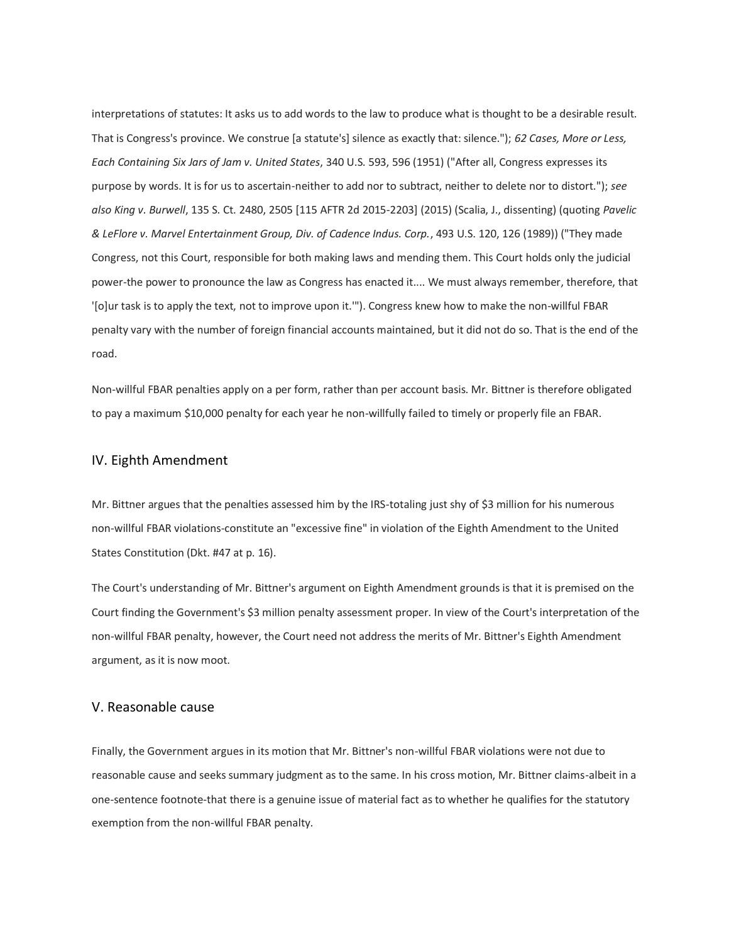interpretations of statutes: It asks us to add words to the law to produce what is thought to be a desirable result. That is Congress's province. We construe [a statute's] silence as exactly that: silence."); *62 Cases, More or Less, Each Containing Six Jars of Jam v. United States*, 340 U.S. 593, 596 (1951) ("After all, Congress expresses its purpose by words. It is for us to ascertain-neither to add nor to subtract, neither to delete nor to distort."); *see also King v. Burwell*, 135 S. Ct. 2480, 2505 [115 AFTR 2d 2015-2203] (2015) (Scalia, J., dissenting) (quoting *Pavelic & LeFlore v. Marvel Entertainment Group, Div. of Cadence Indus. Corp.*, 493 U.S. 120, 126 (1989)) ("They made Congress, not this Court, responsible for both making laws and mending them. This Court holds only the judicial power-the power to pronounce the law as Congress has enacted it.... We must always remember, therefore, that '[o]ur task is to apply the text, not to improve upon it.'"). Congress knew how to make the non-willful FBAR penalty vary with the number of foreign financial accounts maintained, but it did not do so. That is the end of the road.

Non-willful FBAR penalties apply on a per form, rather than per account basis. Mr. Bittner is therefore obligated to pay a maximum \$10,000 penalty for each year he non-willfully failed to timely or properly file an FBAR.

#### IV. Eighth Amendment

Mr. Bittner argues that the penalties assessed him by the IRS-totaling just shy of \$3 million for his numerous non-willful FBAR violations-constitute an "excessive fine" in violation of the Eighth Amendment to the United States Constitution (Dkt. #47 at p. 16).

The Court's understanding of Mr. Bittner's argument on Eighth Amendment grounds is that it is premised on the Court finding the Government's \$3 million penalty assessment proper. In view of the Court's interpretation of the non-willful FBAR penalty, however, the Court need not address the merits of Mr. Bittner's Eighth Amendment argument, as it is now moot.

### V. Reasonable cause

Finally, the Government argues in its motion that Mr. Bittner's non-willful FBAR violations were not due to reasonable cause and seeks summary judgment as to the same. In his cross motion, Mr. Bittner claims-albeit in a one-sentence footnote-that there is a genuine issue of material fact as to whether he qualifies for the statutory exemption from the non-willful FBAR penalty.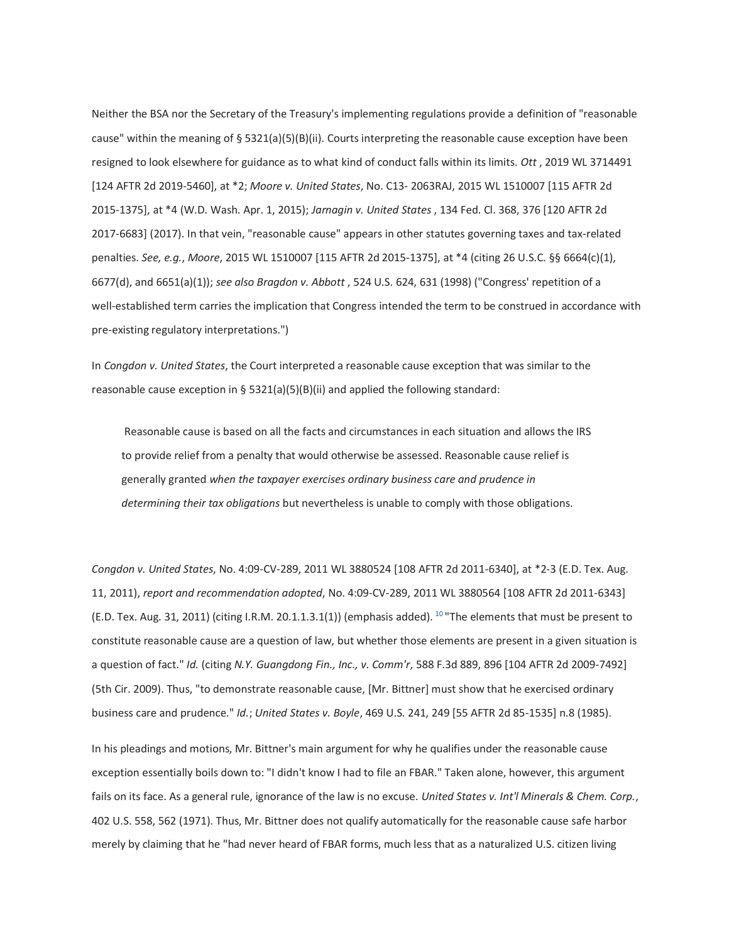Neither the BSA nor the Secretary of the Treasury's implementing regulations provide a definition of "reasonable cause" within the meaning of § 5321(a)(5)(B)(ii). Courts interpreting the reasonable cause exception have been resigned to look elsewhere for guidance as to what kind of conduct falls within its limits. *Ott* , 2019 WL 3714491 [124 AFTR 2d 2019-5460], at \*2; *Moore v. United States*, No. C13- 2063RAJ, 2015 WL 1510007 [115 AFTR 2d 2015-1375], at \*4 (W.D. Wash. Apr. 1, 2015); *Jarnagin v. United States* , 134 Fed. Cl. 368, 376 [120 AFTR 2d 2017-6683] (2017). In that vein, "reasonable cause" appears in other statutes governing taxes and tax-related penalties. *See, e.g.*, *Moore*, 2015 WL 1510007 [115 AFTR 2d 2015-1375], at \*4 (citing 26 U.S.C. §§ 6664(c)(1), 6677(d), and 6651(a)(1)); *see also Bragdon v. Abbott* , 524 U.S. 624, 631 (1998) ("Congress' repetition of a well-established term carries the implication that Congress intended the term to be construed in accordance with pre-existing regulatory interpretations.")

In *Congdon v. United States*, the Court interpreted a reasonable cause exception that was similar to the reasonable cause exception in § 5321(a)(5)(B)(ii) and applied the following standard:

Reasonable cause is based on all the facts and circumstances in each situation and allows the IRS to provide relief from a penalty that would otherwise be assessed. Reasonable cause relief is generally granted *when the taxpayer exercises ordinary business care and prudence in determining their tax obligations* but nevertheless is unable to comply with those obligations.

*Congdon v. United States*, No. 4:09-CV-289, 2011 WL 3880524 [108 AFTR 2d 2011-6340], at \*2-3 (E.D. Tex. Aug. 11, 2011), *report and recommendation adopted*, No. 4:09-CV-289, 2011 WL 3880564 [108 AFTR 2d 2011-6343] (E.D. Tex. Aug. 31, 2011) (citing I.R.M. 20.1.1.3.1(1)) (emphasis added).  $^{10}$  The elements that must be present to constitute reasonable cause are a question of law, but whether those elements are present in a given situation is a question of fact." *Id.* (citing *N.Y. Guangdong Fin., Inc., v. Comm'r*, 588 F.3d 889, 896 [104 AFTR 2d 2009-7492] (5th Cir. 2009). Thus, "to demonstrate reasonable cause, [Mr. Bittner] must show that he exercised ordinary business care and prudence." *Id.*; *United States v. Boyle*, 469 U.S. 241, 249 [55 AFTR 2d 85-1535] n.8 (1985).

In his pleadings and motions, Mr. Bittner's main argument for why he qualifies under the reasonable cause exception essentially boils down to: "I didn't know I had to file an FBAR." Taken alone, however, this argument fails on its face. As a general rule, ignorance of the law is no excuse. *United States v. Int'l Minerals & Chem. Corp.*, 402 U.S. 558, 562 (1971). Thus, Mr. Bittner does not qualify automatically for the reasonable cause safe harbor merely by claiming that he "had never heard of FBAR forms, much less that as a naturalized U.S. citizen living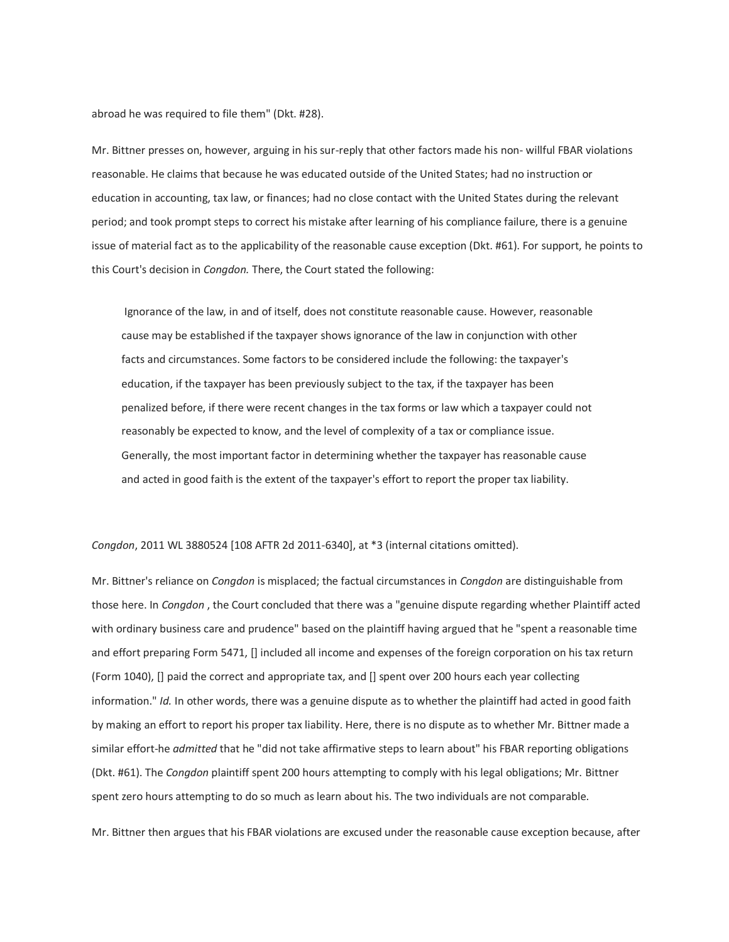abroad he was required to file them" (Dkt. #28).

Mr. Bittner presses on, however, arguing in his sur-reply that other factors made his non- willful FBAR violations reasonable. He claims that because he was educated outside of the United States; had no instruction or education in accounting, tax law, or finances; had no close contact with the United States during the relevant period; and took prompt steps to correct his mistake after learning of his compliance failure, there is a genuine issue of material fact as to the applicability of the reasonable cause exception (Dkt. #61). For support, he points to this Court's decision in *Congdon.* There, the Court stated the following:

Ignorance of the law, in and of itself, does not constitute reasonable cause. However, reasonable cause may be established if the taxpayer shows ignorance of the law in conjunction with other facts and circumstances. Some factors to be considered include the following: the taxpayer's education, if the taxpayer has been previously subject to the tax, if the taxpayer has been penalized before, if there were recent changes in the tax forms or law which a taxpayer could not reasonably be expected to know, and the level of complexity of a tax or compliance issue. Generally, the most important factor in determining whether the taxpayer has reasonable cause and acted in good faith is the extent of the taxpayer's effort to report the proper tax liability.

*Congdon*, 2011 WL 3880524 [108 AFTR 2d 2011-6340], at \*3 (internal citations omitted).

Mr. Bittner's reliance on *Congdon* is misplaced; the factual circumstances in *Congdon* are distinguishable from those here. In *Congdon* , the Court concluded that there was a "genuine dispute regarding whether Plaintiff acted with ordinary business care and prudence" based on the plaintiff having argued that he "spent a reasonable time and effort preparing Form 5471, [] included all income and expenses of the foreign corporation on his tax return (Form 1040), [] paid the correct and appropriate tax, and [] spent over 200 hours each year collecting information." *Id.* In other words, there was a genuine dispute as to whether the plaintiff had acted in good faith by making an effort to report his proper tax liability. Here, there is no dispute as to whether Mr. Bittner made a similar effort-he *admitted* that he "did not take affirmative steps to learn about" his FBAR reporting obligations (Dkt. #61). The *Congdon* plaintiff spent 200 hours attempting to comply with his legal obligations; Mr. Bittner spent zero hours attempting to do so much as learn about his. The two individuals are not comparable.

Mr. Bittner then argues that his FBAR violations are excused under the reasonable cause exception because, after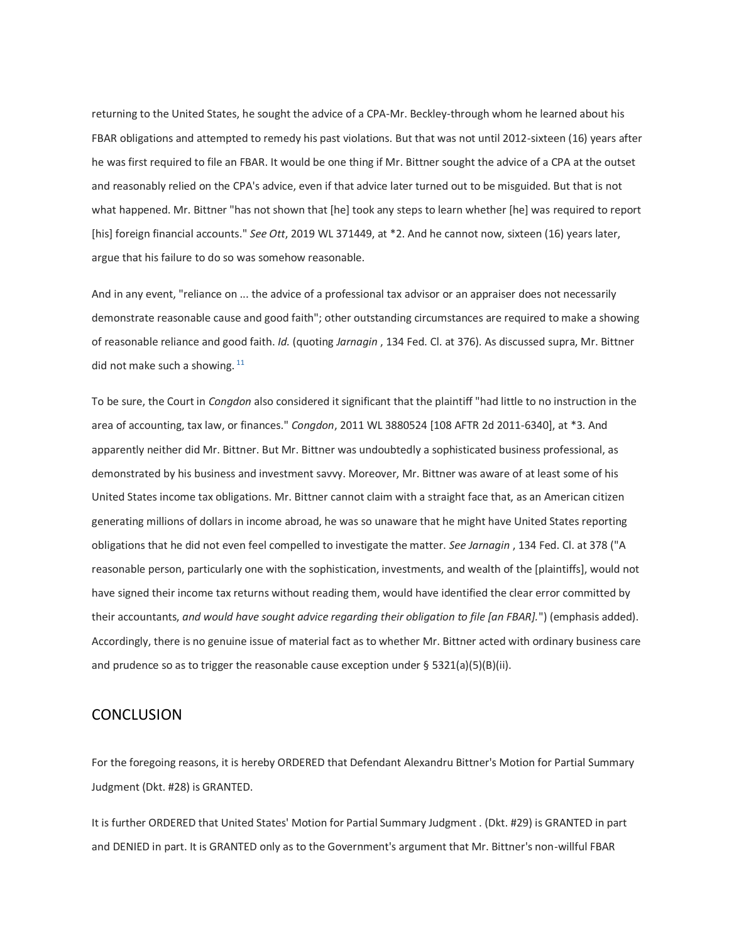returning to the United States, he sought the advice of a CPA-Mr. Beckley-through whom he learned about his FBAR obligations and attempted to remedy his past violations. But that was not until 2012-sixteen (16) years after he was first required to file an FBAR. It would be one thing if Mr. Bittner sought the advice of a CPA at the outset and reasonably relied on the CPA's advice, even if that advice later turned out to be misguided. But that is not what happened. Mr. Bittner "has not shown that [he] took any steps to learn whether [he] was required to report [his] foreign financial accounts." *See Ott*, 2019 WL 371449, at \*2. And he cannot now, sixteen (16) years later, argue that his failure to do so was somehow reasonable.

And in any event, "reliance on ... the advice of a professional tax advisor or an appraiser does not necessarily demonstrate reasonable cause and good faith"; other outstanding circumstances are required to make a showing of reasonable reliance and good faith. *Id.* (quoting *Jarnagin* , 134 Fed. Cl. at 376). As discussed supra, Mr. Bittner did not make such a showing.  $11$ 

To be sure, the Court in *Congdon* also considered it significant that the plaintiff "had little to no instruction in the area of accounting, tax law, or finances." *Congdon*, 2011 WL 3880524 [108 AFTR 2d 2011-6340], at \*3. And apparently neither did Mr. Bittner. But Mr. Bittner was undoubtedly a sophisticated business professional, as demonstrated by his business and investment savvy. Moreover, Mr. Bittner was aware of at least some of his United States income tax obligations. Mr. Bittner cannot claim with a straight face that, as an American citizen generating millions of dollars in income abroad, he was so unaware that he might have United States reporting obligations that he did not even feel compelled to investigate the matter. *See Jarnagin* , 134 Fed. Cl. at 378 ("A reasonable person, particularly one with the sophistication, investments, and wealth of the [plaintiffs], would not have signed their income tax returns without reading them, would have identified the clear error committed by their accountants, *and would have sought advice regarding their obligation to file [an FBAR].*") (emphasis added). Accordingly, there is no genuine issue of material fact as to whether Mr. Bittner acted with ordinary business care and prudence so as to trigger the reasonable cause exception under  $\S$  5321(a)(5)(B)(ii).

### **CONCLUSION**

For the foregoing reasons, it is hereby ORDERED that Defendant Alexandru Bittner's Motion for Partial Summary Judgment (Dkt. #28) is GRANTED.

It is further ORDERED that United States' Motion for Partial Summary Judgment . (Dkt. #29) is GRANTED in part and DENIED in part. It is GRANTED only as to the Government's argument that Mr. Bittner's non-willful FBAR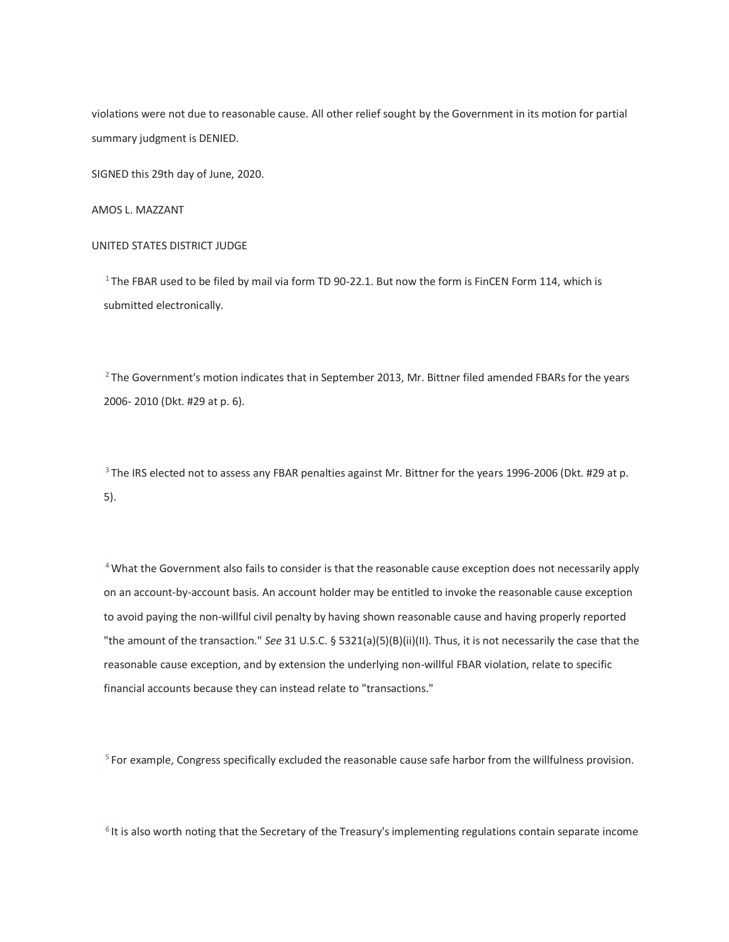violations were not due to reasonable cause. All other relief sought by the Government in its motion for partial summary judgment is DENIED.

SIGNED this 29th day of June, 2020.

AMOS L. MAZZANT

#### UNITED STATES DISTRICT JUDGE

<sup>1</sup>The FBAR used to be filed by mail via form TD 90-22.1. But now the form is FinCEN Form 114, which is submitted electronically.

 $2$ The Government's motion indicates that in September 2013, Mr. Bittner filed amended FBARs for the years 2006- 2010 (Dkt. #29 at p. 6).

<sup>3</sup> The IRS elected not to assess any FBAR penalties against Mr. Bittner for the years 1996-2006 (Dkt. #29 at p. 5).

<sup>4</sup> What the Government also fails to consider is that the reasonable cause exception does not necessarily apply on an account-by-account basis. An account holder may be entitled to invoke the reasonable cause exception to avoid paying the non-willful civil penalty by having shown reasonable cause and having properly reported "the amount of the transaction." *See* 31 U.S.C. § 5321(a)(5)(B)(ii)(II). Thus, it is not necessarily the case that the reasonable cause exception, and by extension the underlying non-willful FBAR violation, relate to specific financial accounts because they can instead relate to "transactions."

<sup>5</sup> For example, Congress specifically excluded the reasonable cause safe harbor from the willfulness provision.

 $6$  It is also worth noting that the Secretary of the Treasury's implementing regulations contain separate income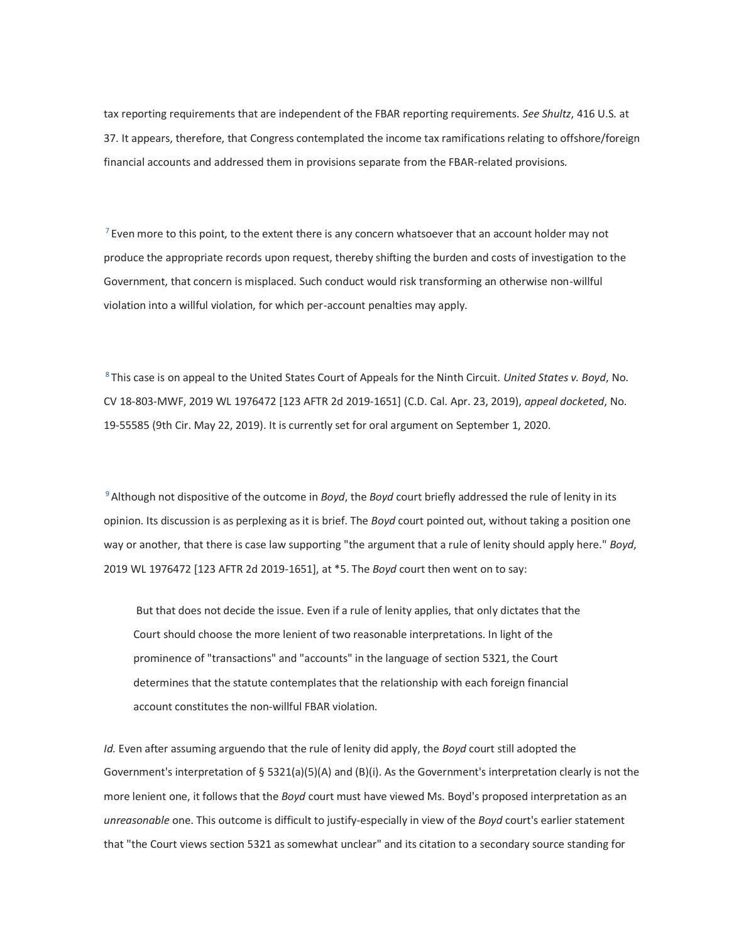tax reporting requirements that are independent of the FBAR reporting requirements. *See Shultz*, 416 U.S. at 37. It appears, therefore, that Congress contemplated the income tax ramifications relating to offshore/foreign financial accounts and addressed them in provisions separate from the FBAR-related provisions.

 $<sup>7</sup>$  Even more to this point, to the extent there is any concern whatsoever that an account holder may not</sup> produce the appropriate records upon request, thereby shifting the burden and costs of investigation to the Government, that concern is misplaced. Such conduct would risk transforming an otherwise non-willful violation into a willful violation, for which per-account penalties may apply.

<sup>8</sup>This case is on appeal to the United States Court of Appeals for the Ninth Circuit. *United States v. Boyd*, No. CV 18-803-MWF, 2019 WL 1976472 [123 AFTR 2d 2019-1651] (C.D. Cal. Apr. 23, 2019), *appeal docketed*, No. 19-55585 (9th Cir. May 22, 2019). It is currently set for oral argument on September 1, 2020.

<sup>9</sup>Although not dispositive of the outcome in *Boyd*, the *Boyd* court briefly addressed the rule of lenity in its opinion. Its discussion is as perplexing as it is brief. The *Boyd* court pointed out, without taking a position one way or another, that there is case law supporting "the argument that a rule of lenity should apply here." *Boyd*, 2019 WL 1976472 [123 AFTR 2d 2019-1651], at \*5. The *Boyd* court then went on to say:

But that does not decide the issue. Even if a rule of lenity applies, that only dictates that the Court should choose the more lenient of two reasonable interpretations. In light of the prominence of "transactions" and "accounts" in the language of section 5321, the Court determines that the statute contemplates that the relationship with each foreign financial account constitutes the non-willful FBAR violation.

*Id.* Even after assuming arguendo that the rule of lenity did apply, the *Boyd* court still adopted the Government's interpretation of § 5321(a)(5)(A) and (B)(i). As the Government's interpretation clearly is not the more lenient one, it follows that the *Boyd* court must have viewed Ms. Boyd's proposed interpretation as an *unreasonable* one. This outcome is difficult to justify-especially in view of the *Boyd* court's earlier statement that "the Court views section 5321 as somewhat unclear" and its citation to a secondary source standing for